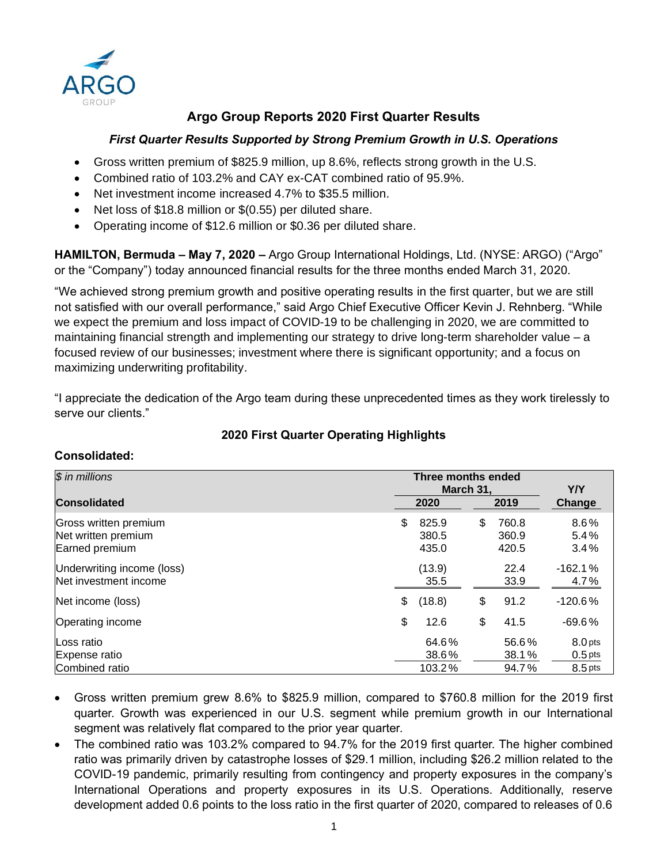

# **Argo Group Reports 2020 First Quarter Results**

# *First Quarter Results Supported by Strong Premium Growth in U.S. Operations*

- Gross written premium of \$825.9 million, up 8.6%, reflects strong growth in the U.S.
- Combined ratio of 103.2% and CAY ex-CAT combined ratio of 95.9%.
- Net investment income increased 4.7% to \$35.5 million.
- Net loss of \$18.8 million or \$(0.55) per diluted share.
- Operating income of \$12.6 million or \$0.36 per diluted share.

**HAMILTON, Bermuda – May 7, 2020 –** Argo Group International Holdings, Ltd. (NYSE: ARGO) ("Argo" or the "Company") today announced financial results for the three months ended March 31, 2020.

"We achieved strong premium growth and positive operating results in the first quarter, but we are still not satisfied with our overall performance," said Argo Chief Executive Officer Kevin J. Rehnberg. "While we expect the premium and loss impact of COVID-19 to be challenging in 2020, we are committed to maintaining financial strength and implementing our strategy to drive long-term shareholder value – a focused review of our businesses; investment where there is significant opportunity; and a focus on maximizing underwriting profitability.

"I appreciate the dedication of the Argo team during these unprecedented times as they work tirelessly to serve our clients."

## **2020 First Quarter Operating Highlights**

## **Consolidated:**

| \$ in millions                                                 |    | Three months ended<br>March 31. | Y/Y |                         |                                   |      |        |
|----------------------------------------------------------------|----|---------------------------------|-----|-------------------------|-----------------------------------|------|--------|
| <b>Consolidated</b><br>2020                                    |    |                                 |     |                         |                                   | 2019 | Change |
| Gross written premium<br>Net written premium<br>Earned premium | \$ | 825.9<br>380.5<br>435.0         | \$  | 760.8<br>360.9<br>420.5 | 8.6%<br>5.4%<br>3.4%              |      |        |
| Underwriting income (loss)<br>Net investment income            |    | (13.9)<br>35.5                  |     | 22.4<br>33.9            | $-162.1%$<br>4.7%                 |      |        |
| Net income (loss)                                              | \$ | (18.8)                          | \$  | 91.2                    | $-120.6%$                         |      |        |
| Operating income                                               | \$ | 12.6                            | \$  | 41.5                    | $-69.6%$                          |      |        |
| Loss ratio<br>Expense ratio<br>Combined ratio                  |    | 64.6%<br>38.6%<br>103.2%        |     | 56.6%<br>38.1%<br>94.7% | 8.0 pts<br>$0.5$ pts<br>$8.5$ pts |      |        |

- Gross written premium grew 8.6% to \$825.9 million, compared to \$760.8 million for the 2019 first quarter. Growth was experienced in our U.S. segment while premium growth in our International segment was relatively flat compared to the prior year quarter.
- The combined ratio was 103.2% compared to 94.7% for the 2019 first quarter. The higher combined ratio was primarily driven by catastrophe losses of \$29.1 million, including \$26.2 million related to the COVID-19 pandemic, primarily resulting from contingency and property exposures in the company's International Operations and property exposures in its U.S. Operations. Additionally, reserve development added 0.6 points to the loss ratio in the first quarter of 2020, compared to releases of 0.6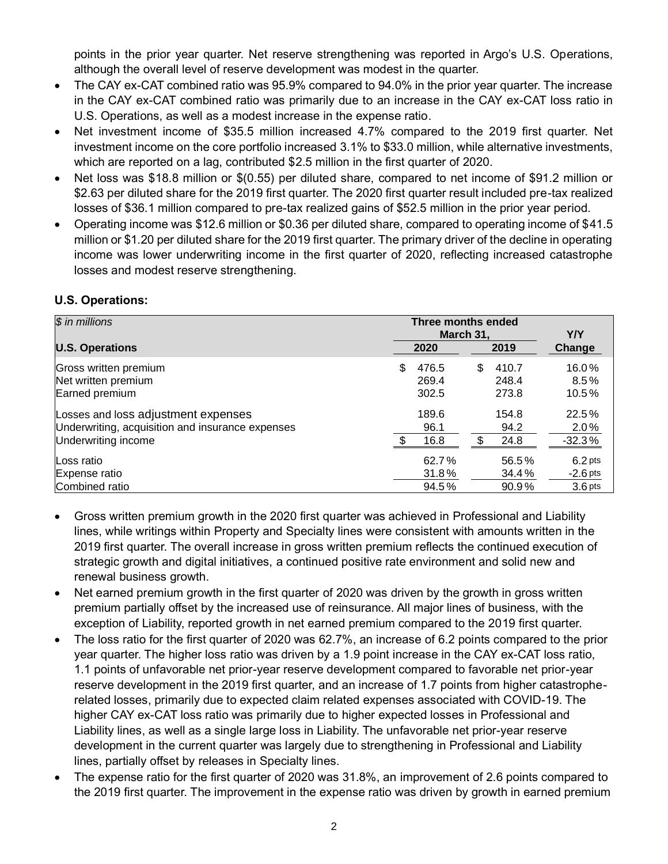points in the prior year quarter. Net reserve strengthening was reported in Argo's U.S. Operations, although the overall level of reserve development was modest in the quarter.

- The CAY ex-CAT combined ratio was 95.9% compared to 94.0% in the prior year quarter. The increase in the CAY ex-CAT combined ratio was primarily due to an increase in the CAY ex-CAT loss ratio in U.S. Operations, as well as a modest increase in the expense ratio.
- Net investment income of \$35.5 million increased 4.7% compared to the 2019 first quarter. Net investment income on the core portfolio increased 3.1% to \$33.0 million, while alternative investments, which are reported on a lag, contributed \$2.5 million in the first quarter of 2020.
- Net loss was \$18.8 million or \$(0.55) per diluted share, compared to net income of \$91.2 million or \$2.63 per diluted share for the 2019 first quarter. The 2020 first quarter result included pre-tax realized losses of \$36.1 million compared to pre-tax realized gains of \$52.5 million in the prior year period.
- Operating income was \$12.6 million or \$0.36 per diluted share, compared to operating income of \$41.5 million or \$1.20 per diluted share for the 2019 first quarter. The primary driver of the decline in operating income was lower underwriting income in the first quarter of 2020, reflecting increased catastrophe losses and modest reserve strengthening.

# **U.S. Operations:**

| $\overline{\$}$ in millions                      | Three months ended<br>March 31 | Y/Y |       |                    |
|--------------------------------------------------|--------------------------------|-----|-------|--------------------|
| <b>U.S. Operations</b>                           | 2019<br>2020                   |     |       | Change             |
| Gross written premium                            | \$<br>476.5                    | S   | 410.7 | 16.0%              |
| Net written premium                              | 269.4                          |     | 248.4 | $8.5\%$            |
| Earned premium                                   | 302.5                          |     | 273.8 | $10.5\%$           |
| Losses and loss adjustment expenses              | 189.6                          |     | 154.8 | 22.5%              |
| Underwriting, acquisition and insurance expenses | 96.1                           |     | 94.2  | $2.0\%$            |
| Underwriting income                              | 16.8                           |     | 24.8  | $-32.3%$           |
| Loss ratio                                       | 62.7%                          |     | 56.5% | $6.2$ pts          |
| Expense ratio                                    | 31.8%                          |     | 34.4% | $-2.6$ pts         |
| Combined ratio                                   | 94.5%                          |     | 90.9% | 3.6 <sub>pts</sub> |

- Gross written premium growth in the 2020 first quarter was achieved in Professional and Liability lines, while writings within Property and Specialty lines were consistent with amounts written in the 2019 first quarter. The overall increase in gross written premium reflects the continued execution of strategic growth and digital initiatives, a continued positive rate environment and solid new and renewal business growth.
- Net earned premium growth in the first quarter of 2020 was driven by the growth in gross written premium partially offset by the increased use of reinsurance. All major lines of business, with the exception of Liability, reported growth in net earned premium compared to the 2019 first quarter.
- The loss ratio for the first quarter of 2020 was 62.7%, an increase of 6.2 points compared to the prior year quarter. The higher loss ratio was driven by a 1.9 point increase in the CAY ex-CAT loss ratio, 1.1 points of unfavorable net prior-year reserve development compared to favorable net prior-year reserve development in the 2019 first quarter, and an increase of 1.7 points from higher catastropherelated losses, primarily due to expected claim related expenses associated with COVID-19. The higher CAY ex-CAT loss ratio was primarily due to higher expected losses in Professional and Liability lines, as well as a single large loss in Liability. The unfavorable net prior-year reserve development in the current quarter was largely due to strengthening in Professional and Liability lines, partially offset by releases in Specialty lines.
- The expense ratio for the first quarter of 2020 was 31.8%, an improvement of 2.6 points compared to the 2019 first quarter. The improvement in the expense ratio was driven by growth in earned premium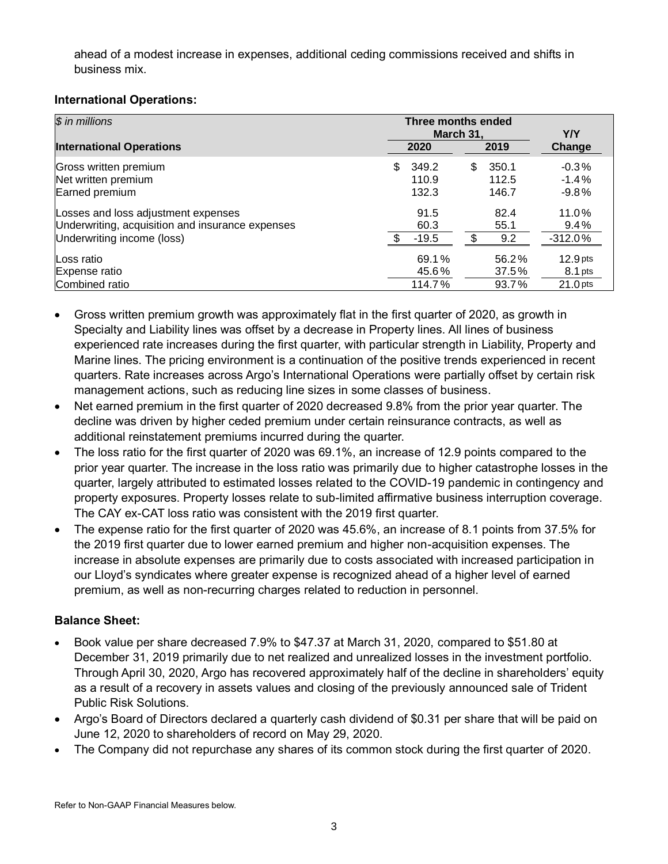ahead of a modest increase in expenses, additional ceding commissions received and shifts in business mix.

# **International Operations:**

| \$ in millions                                   | Three months ended<br>March 31. | <b>Y/Y</b> |       |                     |
|--------------------------------------------------|---------------------------------|------------|-------|---------------------|
| <b>International Operations</b>                  | 2019<br>2020                    |            |       | Change              |
| Gross written premium                            | \$<br>349.2                     | \$         | 350.1 | $-0.3%$             |
| Net written premium                              | 110.9                           |            | 112.5 | $-1.4%$             |
| Earned premium                                   | 132.3                           |            | 146.7 | $-9.8%$             |
| Losses and loss adjustment expenses              | 91.5                            |            | 82.4  | 11.0%               |
| Underwriting, acquisition and insurance expenses | 60.3                            |            | 55.1  | 9.4%                |
| Underwriting income (loss)                       | $-19.5$                         |            | 9.2   | $-312.0%$           |
| Loss ratio                                       | 69.1%                           |            | 56.2% | 12.9 <sub>pts</sub> |
| Expense ratio                                    | 45.6%                           |            | 37.5% | $8.1$ pts           |
| Combined ratio                                   | 114.7%                          |            | 93.7% | $21.0$ pts          |

- Gross written premium growth was approximately flat in the first quarter of 2020, as growth in Specialty and Liability lines was offset by a decrease in Property lines. All lines of business experienced rate increases during the first quarter, with particular strength in Liability, Property and Marine lines. The pricing environment is a continuation of the positive trends experienced in recent quarters. Rate increases across Argo's International Operations were partially offset by certain risk management actions, such as reducing line sizes in some classes of business.
- Net earned premium in the first quarter of 2020 decreased 9.8% from the prior year quarter. The decline was driven by higher ceded premium under certain reinsurance contracts, as well as additional reinstatement premiums incurred during the quarter.
- The loss ratio for the first quarter of 2020 was 69.1%, an increase of 12.9 points compared to the prior year quarter. The increase in the loss ratio was primarily due to higher catastrophe losses in the quarter, largely attributed to estimated losses related to the COVID-19 pandemic in contingency and property exposures. Property losses relate to sub-limited affirmative business interruption coverage. The CAY ex-CAT loss ratio was consistent with the 2019 first quarter.
- The expense ratio for the first quarter of 2020 was 45.6%, an increase of 8.1 points from 37.5% for the 2019 first quarter due to lower earned premium and higher non-acquisition expenses. The increase in absolute expenses are primarily due to costs associated with increased participation in our Lloyd's syndicates where greater expense is recognized ahead of a higher level of earned premium, as well as non-recurring charges related to reduction in personnel.

# **Balance Sheet:**

- Book value per share decreased 7.9% to \$47.37 at March 31, 2020, compared to \$51.80 at December 31, 2019 primarily due to net realized and unrealized losses in the investment portfolio. Through April 30, 2020, Argo has recovered approximately half of the decline in shareholders' equity as a result of a recovery in assets values and closing of the previously announced sale of Trident Public Risk Solutions.
- Argo's Board of Directors declared a quarterly cash dividend of \$0.31 per share that will be paid on June 12, 2020 to shareholders of record on May 29, 2020.
- The Company did not repurchase any shares of its common stock during the first quarter of 2020.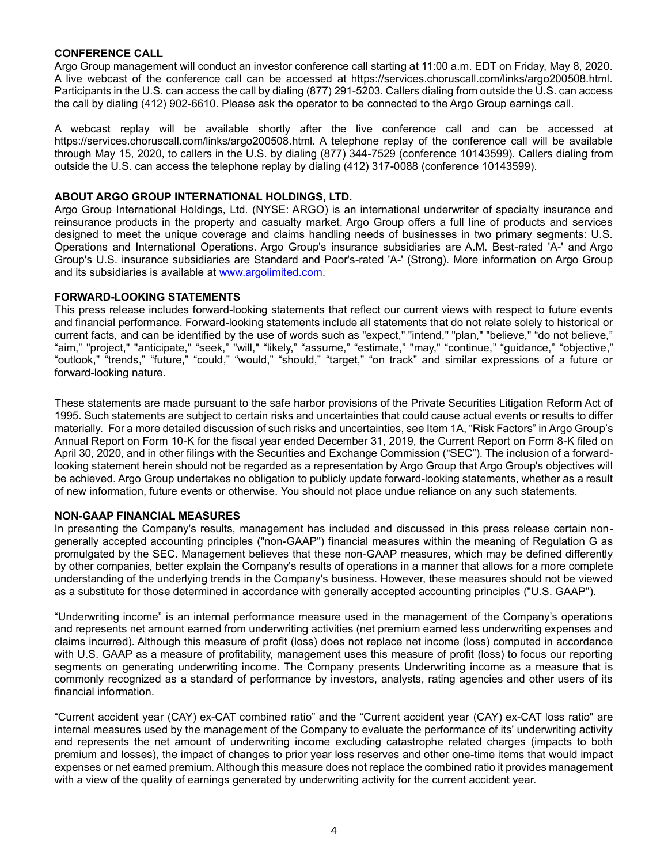### **CONFERENCE CALL**

Argo Group management will conduct an investor conference call starting at 11:00 a.m. EDT on Friday, May 8, 2020. A live webcast of the conference call can be accessed at https://services.choruscall.com/links/argo200508.html. Participants in the U.S. can access the call by dialing (877) 291-5203. Callers dialing from outside the U.S. can access the call by dialing (412) 902-6610. Please ask the operator to be connected to the Argo Group earnings call.

A webcast replay will be available shortly after the live conference call and can be accessed at https://services.choruscall.com/links/argo200508.html. A telephone replay of the conference call will be available through May 15, 2020, to callers in the U.S. by dialing (877) 344-7529 (conference 10143599). Callers dialing from outside the U.S. can access the telephone replay by dialing (412) 317-0088 (conference 10143599).

#### **ABOUT ARGO GROUP INTERNATIONAL HOLDINGS, LTD.**

Argo Group International Holdings, Ltd. (NYSE: ARGO) is an international underwriter of specialty insurance and reinsurance products in the property and casualty market. Argo Group offers a full line of products and services designed to meet the unique coverage and claims handling needs of businesses in two primary segments: U.S. Operations and International Operations. Argo Group's insurance subsidiaries are A.M. Best-rated 'A-' and Argo Group's U.S. insurance subsidiaries are Standard and Poor's-rated 'A-' (Strong). More information on Argo Group and its subsidiaries is available at www.argolimited.com.

### **FORWARD-LOOKING STATEMENTS**

This press release includes forward-looking statements that reflect our current views with respect to future events and financial performance. Forward-looking statements include all statements that do not relate solely to historical or current facts, and can be identified by the use of words such as "expect," "intend," "plan," "believe," "do not believe," "aim," "project," "anticipate," "seek," "will," "likely," "assume," "estimate," "may," "continue," "guidance," "objective," "outlook," "trends," "future," "could," "would," "should," "target," "on track" and similar expressions of a future or forward-looking nature.

These statements are made pursuant to the safe harbor provisions of the Private Securities Litigation Reform Act of 1995. Such statements are subject to certain risks and uncertainties that could cause actual events or results to differ materially. For a more detailed discussion of such risks and uncertainties, see Item 1A, "Risk Factors" in Argo Group's Annual Report on Form 10-K for the fiscal year ended December 31, 2019, the Current Report on Form 8-K filed on April 30, 2020, and in other filings with the Securities and Exchange Commission ("SEC"). The inclusion of a forwardlooking statement herein should not be regarded as a representation by Argo Group that Argo Group's objectives will be achieved. Argo Group undertakes no obligation to publicly update forward-looking statements, whether as a result of new information, future events or otherwise. You should not place undue reliance on any such statements.

### **NON-GAAP FINANCIAL MEASURES**

In presenting the Company's results, management has included and discussed in this press release certain nongenerally accepted accounting principles ("non-GAAP") financial measures within the meaning of Regulation G as promulgated by the SEC. Management believes that these non-GAAP measures, which may be defined differently by other companies, better explain the Company's results of operations in a manner that allows for a more complete understanding of the underlying trends in the Company's business. However, these measures should not be viewed as a substitute for those determined in accordance with generally accepted accounting principles ("U.S. GAAP").

"Underwriting income" is an internal performance measure used in the management of the Company's operations and represents net amount earned from underwriting activities (net premium earned less underwriting expenses and claims incurred). Although this measure of profit (loss) does not replace net income (loss) computed in accordance with U.S. GAAP as a measure of profitability, management uses this measure of profit (loss) to focus our reporting segments on generating underwriting income. The Company presents Underwriting income as a measure that is commonly recognized as a standard of performance by investors, analysts, rating agencies and other users of its financial information.

"Current accident year (CAY) ex-CAT combined ratio" and the "Current accident year (CAY) ex-CAT loss ratio" are internal measures used by the management of the Company to evaluate the performance of its' underwriting activity and represents the net amount of underwriting income excluding catastrophe related charges (impacts to both premium and losses), the impact of changes to prior year loss reserves and other one-time items that would impact expenses or net earned premium. Although this measure does not replace the combined ratio it provides management with a view of the quality of earnings generated by underwriting activity for the current accident year.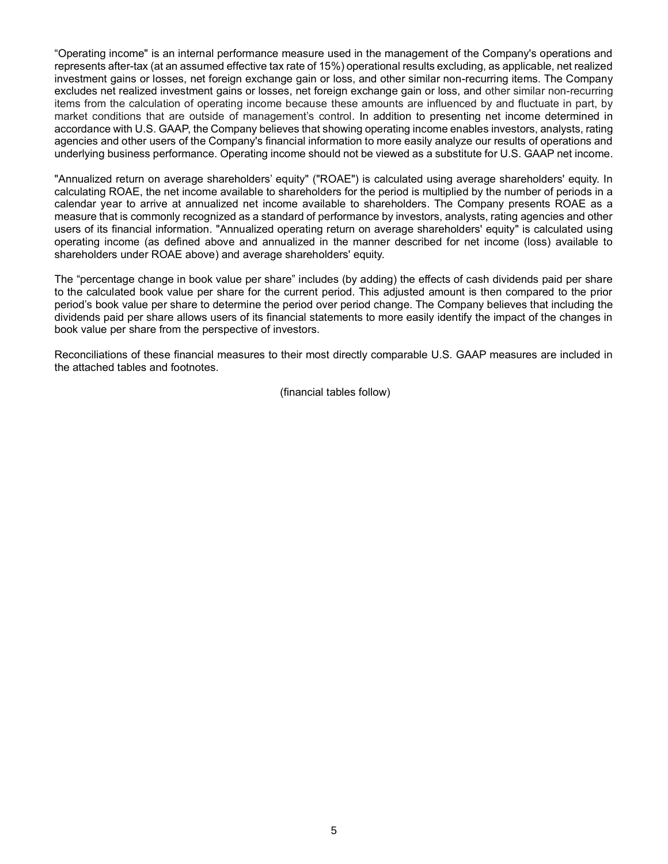"Operating income" is an internal performance measure used in the management of the Company's operations and represents after-tax (at an assumed effective tax rate of 15%) operational results excluding, as applicable, net realized investment gains or losses, net foreign exchange gain or loss, and other similar non-recurring items. The Company excludes net realized investment gains or losses, net foreign exchange gain or loss, and other similar non-recurring items from the calculation of operating income because these amounts are influenced by and fluctuate in part, by market conditions that are outside of management's control. In addition to presenting net income determined in accordance with U.S. GAAP, the Company believes that showing operating income enables investors, analysts, rating agencies and other users of the Company's financial information to more easily analyze our results of operations and underlying business performance. Operating income should not be viewed as a substitute for U.S. GAAP net income.

"Annualized return on average shareholders' equity" ("ROAE") is calculated using average shareholders' equity. In calculating ROAE, the net income available to shareholders for the period is multiplied by the number of periods in a calendar year to arrive at annualized net income available to shareholders. The Company presents ROAE as a measure that is commonly recognized as a standard of performance by investors, analysts, rating agencies and other users of its financial information. "Annualized operating return on average shareholders' equity" is calculated using operating income (as defined above and annualized in the manner described for net income (loss) available to shareholders under ROAE above) and average shareholders' equity.

The "percentage change in book value per share" includes (by adding) the effects of cash dividends paid per share to the calculated book value per share for the current period. This adjusted amount is then compared to the prior period's book value per share to determine the period over period change. The Company believes that including the dividends paid per share allows users of its financial statements to more easily identify the impact of the changes in book value per share from the perspective of investors.

Reconciliations of these financial measures to their most directly comparable U.S. GAAP measures are included in the attached tables and footnotes.

(financial tables follow)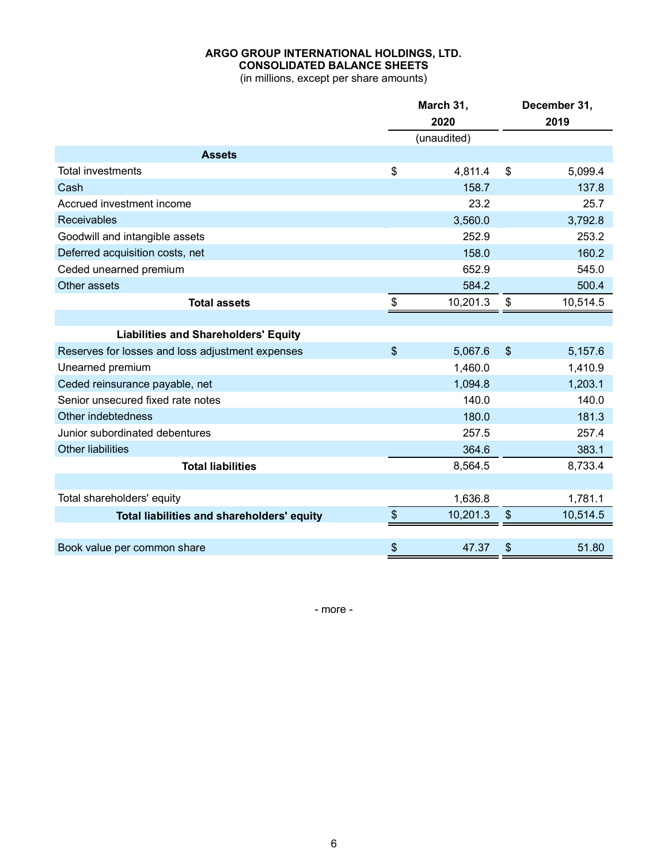# **ARGO GROUP INTERNATIONAL HOLDINGS, LTD. CONSOLIDATED BALANCE SHEETS**

(in millions, except per share amounts)

|                                                  | March 31,     |             | December 31, |          |  |
|--------------------------------------------------|---------------|-------------|--------------|----------|--|
|                                                  |               | 2020        |              | 2019     |  |
|                                                  |               | (unaudited) |              |          |  |
| <b>Assets</b>                                    |               |             |              |          |  |
| <b>Total investments</b>                         | \$            | 4,811.4     | \$           | 5,099.4  |  |
| Cash                                             |               | 158.7       |              | 137.8    |  |
| Accrued investment income                        |               | 23.2        |              | 25.7     |  |
| <b>Receivables</b>                               |               | 3,560.0     |              | 3,792.8  |  |
| Goodwill and intangible assets                   |               | 252.9       |              | 253.2    |  |
| Deferred acquisition costs, net                  |               | 158.0       |              | 160.2    |  |
| Ceded unearned premium                           |               | 652.9       |              | 545.0    |  |
| Other assets                                     |               | 584.2       |              | 500.4    |  |
| <b>Total assets</b>                              | \$            | 10,201.3    | \$           | 10,514.5 |  |
|                                                  |               |             |              |          |  |
| <b>Liabilities and Shareholders' Equity</b>      |               |             |              |          |  |
| Reserves for losses and loss adjustment expenses | \$            | 5,067.6     | \$           | 5,157.6  |  |
| Unearned premium                                 |               | 1,460.0     |              | 1,410.9  |  |
| Ceded reinsurance payable, net                   |               | 1,094.8     |              | 1,203.1  |  |
| Senior unsecured fixed rate notes                |               | 140.0       |              | 140.0    |  |
| Other indebtedness                               |               | 180.0       |              | 181.3    |  |
| Junior subordinated debentures                   |               | 257.5       |              | 257.4    |  |
| <b>Other liabilities</b>                         |               | 364.6       |              | 383.1    |  |
| <b>Total liabilities</b>                         |               | 8,564.5     |              | 8,733.4  |  |
|                                                  |               |             |              |          |  |
| Total shareholders' equity                       |               | 1,636.8     |              | 1,781.1  |  |
| Total liabilities and shareholders' equity       | $\frac{1}{2}$ | 10,201.3    | \$           | 10,514.5 |  |
|                                                  |               |             |              |          |  |
| Book value per common share                      | \$            | 47.37       | \$           | 51.80    |  |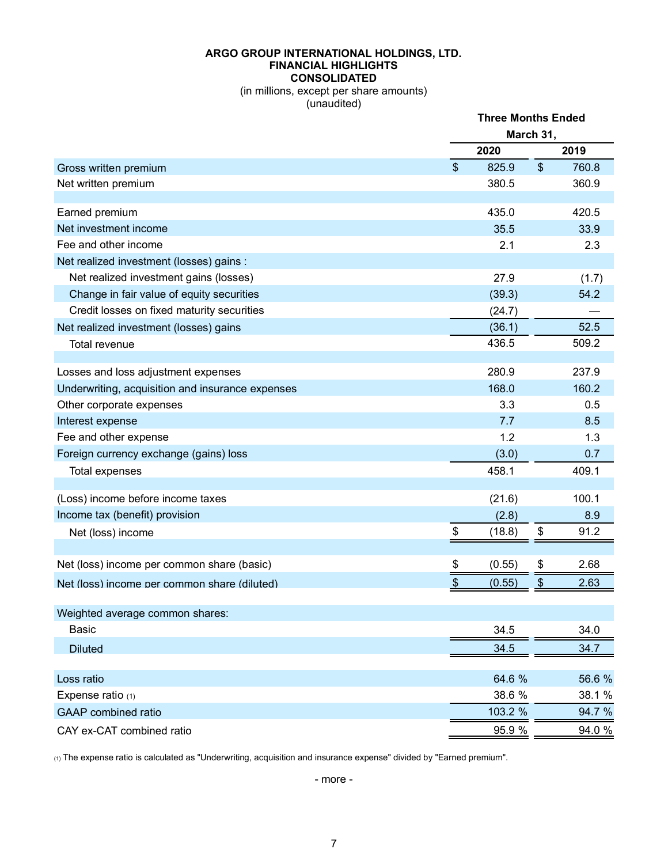#### **ARGO GROUP INTERNATIONAL HOLDINGS, LTD. FINANCIAL HIGHLIGHTS CONSOLIDATED**

(in millions, except per share amounts) (unaudited)

|                                                  | <b>Three Months Ended</b>    |         |                           |        |  |
|--------------------------------------------------|------------------------------|---------|---------------------------|--------|--|
|                                                  |                              |         | March 31,                 |        |  |
|                                                  |                              | 2020    |                           | 2019   |  |
| Gross written premium                            | $\mathfrak{S}$               | 825.9   | $\boldsymbol{\mathsf{S}}$ | 760.8  |  |
| Net written premium                              |                              | 380.5   |                           | 360.9  |  |
| Earned premium                                   |                              | 435.0   |                           | 420.5  |  |
| Net investment income                            |                              | 35.5    |                           | 33.9   |  |
| Fee and other income                             |                              | 2.1     |                           | 2.3    |  |
| Net realized investment (losses) gains :         |                              |         |                           |        |  |
| Net realized investment gains (losses)           |                              | 27.9    |                           | (1.7)  |  |
| Change in fair value of equity securities        |                              | (39.3)  |                           | 54.2   |  |
| Credit losses on fixed maturity securities       |                              | (24.7)  |                           |        |  |
| Net realized investment (losses) gains           |                              | (36.1)  |                           | 52.5   |  |
| Total revenue                                    |                              | 436.5   |                           | 509.2  |  |
|                                                  |                              |         |                           |        |  |
| Losses and loss adjustment expenses              |                              | 280.9   |                           | 237.9  |  |
| Underwriting, acquisition and insurance expenses |                              | 168.0   |                           | 160.2  |  |
| Other corporate expenses                         |                              | 3.3     |                           | 0.5    |  |
| Interest expense                                 |                              | 7.7     |                           | 8.5    |  |
| Fee and other expense                            |                              | 1.2     |                           | 1.3    |  |
| Foreign currency exchange (gains) loss           |                              | (3.0)   |                           | 0.7    |  |
| Total expenses                                   |                              | 458.1   |                           | 409.1  |  |
| (Loss) income before income taxes                |                              | (21.6)  |                           | 100.1  |  |
| Income tax (benefit) provision                   |                              | (2.8)   |                           | 8.9    |  |
| Net (loss) income                                | \$                           | (18.8)  | \$                        | 91.2   |  |
| Net (loss) income per common share (basic)       | \$                           | (0.55)  | \$                        | 2.68   |  |
|                                                  | $\boldsymbol{\hat{\varphi}}$ |         |                           | 2.63   |  |
| Net (loss) income per common share (diluted)     |                              | (0.55)  | \$                        |        |  |
| Weighted average common shares:                  |                              |         |                           |        |  |
| Basic                                            |                              | 34.5    |                           | 34.0   |  |
| <b>Diluted</b>                                   |                              | 34.5    |                           | 34.7   |  |
| Loss ratio                                       |                              | 64.6 %  |                           | 56.6 % |  |
| Expense ratio $(1)$                              |                              | 38.6 %  |                           | 38.1 % |  |
| <b>GAAP</b> combined ratio                       |                              | 103.2 % |                           | 94.7 % |  |
| CAY ex-CAT combined ratio                        |                              | 95.9 %  |                           | 94.0 % |  |

(1) The expense ratio is calculated as "Underwriting, acquisition and insurance expense" divided by "Earned premium".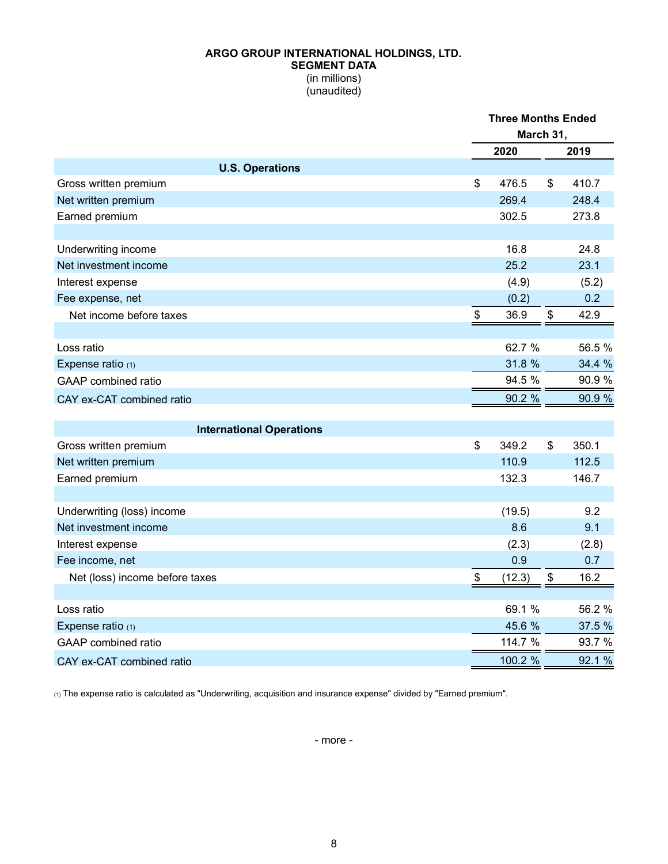#### **ARGO GROUP INTERNATIONAL HOLDINGS, LTD. SEGMENT DATA** (in millions) (unaudited)

|                                 | <b>Three Months Ended</b> |    |        |  |
|---------------------------------|---------------------------|----|--------|--|
|                                 | March 31,                 |    |        |  |
|                                 | 2020                      |    | 2019   |  |
| <b>U.S. Operations</b>          |                           |    |        |  |
| Gross written premium           | \$<br>476.5               | \$ | 410.7  |  |
| Net written premium             | 269.4                     |    | 248.4  |  |
| Earned premium                  | 302.5                     |    | 273.8  |  |
|                                 |                           |    |        |  |
| Underwriting income             | 16.8                      |    | 24.8   |  |
| Net investment income           | 25.2                      |    | 23.1   |  |
| Interest expense                | (4.9)                     |    | (5.2)  |  |
| Fee expense, net                | (0.2)                     |    | 0.2    |  |
| Net income before taxes         | \$<br>36.9                | \$ | 42.9   |  |
|                                 |                           |    |        |  |
| Loss ratio                      | 62.7 %                    |    | 56.5%  |  |
| Expense ratio (1)               | 31.8 %                    |    | 34.4 % |  |
| <b>GAAP</b> combined ratio      | 94.5 %                    |    | 90.9%  |  |
| CAY ex-CAT combined ratio       | 90.2 %                    |    | 90.9%  |  |
|                                 |                           |    |        |  |
| <b>International Operations</b> |                           |    |        |  |
| Gross written premium           | \$<br>349.2               | \$ | 350.1  |  |
| Net written premium             | 110.9                     |    | 112.5  |  |
| Earned premium                  | 132.3                     |    | 146.7  |  |
|                                 |                           |    |        |  |
| Underwriting (loss) income      | (19.5)                    |    | 9.2    |  |
| Net investment income           | 8.6                       |    | 9.1    |  |
| Interest expense                | (2.3)                     |    | (2.8)  |  |
| Fee income, net                 | 0.9                       |    | 0.7    |  |
| Net (loss) income before taxes  | \$<br>(12.3)              | \$ | 16.2   |  |
|                                 |                           |    |        |  |
| Loss ratio                      | 69.1 %                    |    | 56.2%  |  |
| Expense ratio $(1)$             | 45.6 %                    |    | 37.5 % |  |
| <b>GAAP</b> combined ratio      | 114.7 %                   |    | 93.7%  |  |
| CAY ex-CAT combined ratio       | 100.2 %                   |    | 92.1 % |  |

(1) The expense ratio is calculated as "Underwriting, acquisition and insurance expense" divided by "Earned premium".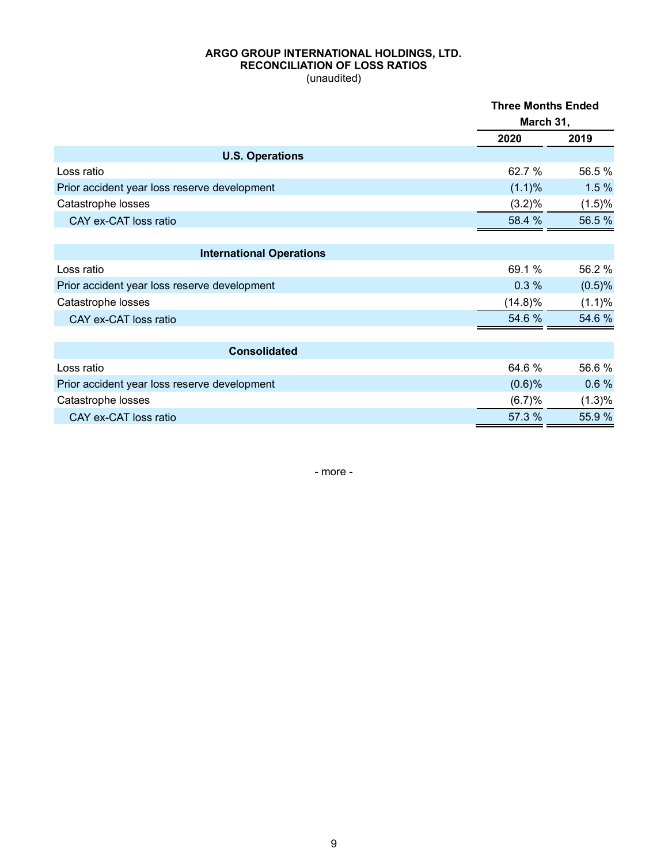# **ARGO GROUP INTERNATIONAL HOLDINGS, LTD. RECONCILIATION OF LOSS RATIOS**

(unaudited)

|                                              | <b>Three Months Ended</b><br>March 31, |        |  |
|----------------------------------------------|----------------------------------------|--------|--|
|                                              | 2020                                   | 2019   |  |
| <b>U.S. Operations</b>                       |                                        |        |  |
| Loss ratio                                   | 62.7 %                                 | 56.5%  |  |
| Prior accident year loss reserve development | (1.1)%                                 | 1.5%   |  |
| Catastrophe losses                           | (3.2)%                                 | (1.5)% |  |
| CAY ex-CAT loss ratio                        | 58.4 %                                 | 56.5%  |  |
|                                              |                                        |        |  |
| <b>International Operations</b>              |                                        |        |  |
| Loss ratio                                   | 69.1 %                                 | 56.2%  |  |
| Prior accident year loss reserve development | 0.3%                                   | (0.5)% |  |
| Catastrophe losses                           | $(14.8)\%$                             | (1.1)% |  |
| CAY ex-CAT loss ratio                        | 54.6 %                                 | 54.6%  |  |
|                                              |                                        |        |  |
| <b>Consolidated</b>                          |                                        |        |  |
| Loss ratio                                   | 64.6 %                                 | 56.6%  |  |
| Prior accident year loss reserve development | $(0.6)$ %                              | 0.6%   |  |
| Catastrophe losses                           | (6.7)%                                 | (1.3)% |  |
| CAY ex-CAT loss ratio                        | 57.3 %                                 | 55.9%  |  |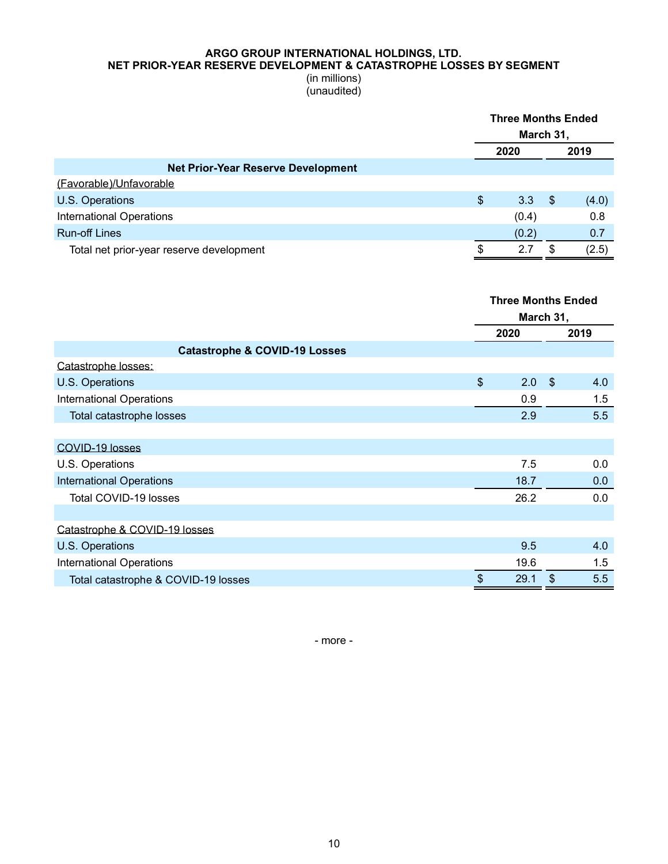### **ARGO GROUP INTERNATIONAL HOLDINGS, LTD. NET PRIOR-YEAR RESERVE DEVELOPMENT & CATASTROPHE LOSSES BY SEGMENT**

(in millions) (unaudited)

|                                           | <b>Three Months Ended</b><br>March 31, |       |     |       |
|-------------------------------------------|----------------------------------------|-------|-----|-------|
|                                           |                                        | 2020  |     | 2019  |
| <b>Net Prior-Year Reserve Development</b> |                                        |       |     |       |
| (Favorable)/Unfavorable                   |                                        |       |     |       |
| U.S. Operations                           | \$                                     | 3.3   | -\$ | (4.0) |
| <b>International Operations</b>           |                                        | (0.4) |     | 0.8   |
| <b>Run-off Lines</b>                      |                                        | (0.2) |     | 0.7   |
| Total net prior-year reserve development  |                                        | 2.7   | S   | (2.5) |

|                                          | <b>Three Months Ended</b> |      |            |      |  |
|------------------------------------------|---------------------------|------|------------|------|--|
|                                          | March 31,                 |      |            |      |  |
|                                          |                           | 2020 |            | 2019 |  |
| <b>Catastrophe &amp; COVID-19 Losses</b> |                           |      |            |      |  |
| Catastrophe losses:                      |                           |      |            |      |  |
| U.S. Operations                          | $\mathsf{\$}$             | 2.0  | $\sqrt{3}$ | 4.0  |  |
| <b>International Operations</b>          |                           | 0.9  |            | 1.5  |  |
| Total catastrophe losses                 |                           | 2.9  |            | 5.5  |  |
|                                          |                           |      |            |      |  |
| COVID-19 losses                          |                           |      |            |      |  |
| U.S. Operations                          |                           | 7.5  |            | 0.0  |  |
| <b>International Operations</b>          |                           | 18.7 |            | 0.0  |  |
| Total COVID-19 losses                    |                           | 26.2 |            | 0.0  |  |
|                                          |                           |      |            |      |  |
| Catastrophe & COVID-19 losses            |                           |      |            |      |  |
| U.S. Operations                          |                           | 9.5  |            | 4.0  |  |
| <b>International Operations</b>          |                           | 19.6 |            | 1.5  |  |
| Total catastrophe & COVID-19 losses      | \$                        | 29.1 | \$         | 5.5  |  |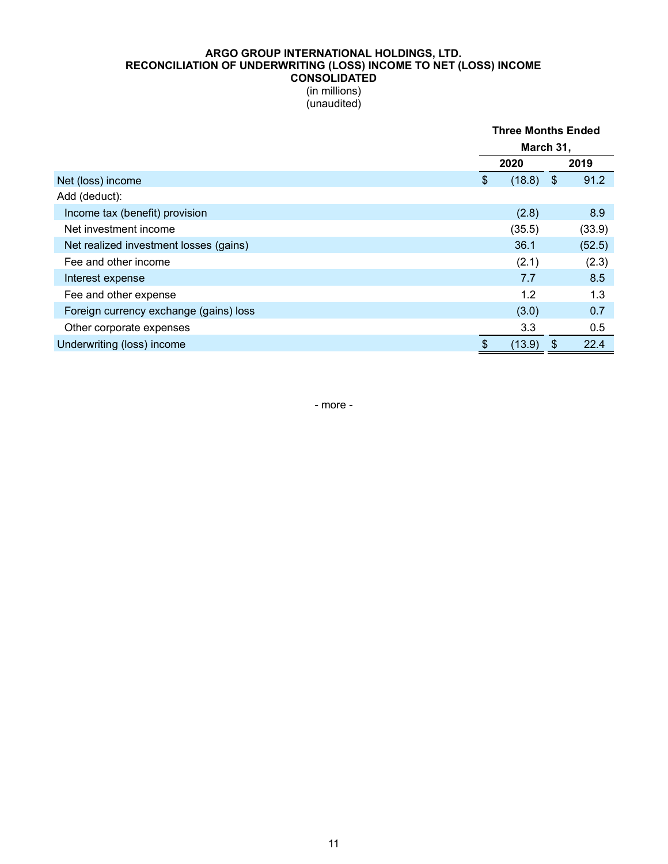### **ARGO GROUP INTERNATIONAL HOLDINGS, LTD. RECONCILIATION OF UNDERWRITING (LOSS) INCOME TO NET (LOSS) INCOME CONSOLIDATED**

(in millions) (unaudited)

|                                        |    | <b>Three Months Ended</b><br>March 31, |     |        |  |
|----------------------------------------|----|----------------------------------------|-----|--------|--|
|                                        |    |                                        |     |        |  |
|                                        |    | 2020                                   |     | 2019   |  |
| Net (loss) income                      | \$ | (18.8)                                 | -\$ | 91.2   |  |
| Add (deduct):                          |    |                                        |     |        |  |
| Income tax (benefit) provision         |    | (2.8)                                  |     | 8.9    |  |
| Net investment income                  |    | (35.5)                                 |     | (33.9) |  |
| Net realized investment losses (gains) |    | 36.1                                   |     | (52.5) |  |
| Fee and other income                   |    | (2.1)                                  |     | (2.3)  |  |
| Interest expense                       |    | 7.7                                    |     | 8.5    |  |
| Fee and other expense                  |    | 1.2                                    |     | 1.3    |  |
| Foreign currency exchange (gains) loss |    | (3.0)                                  |     | 0.7    |  |
| Other corporate expenses               |    | 3.3                                    |     | 0.5    |  |
| Underwriting (loss) income             | \$ | (13.9)                                 | \$  | 22.4   |  |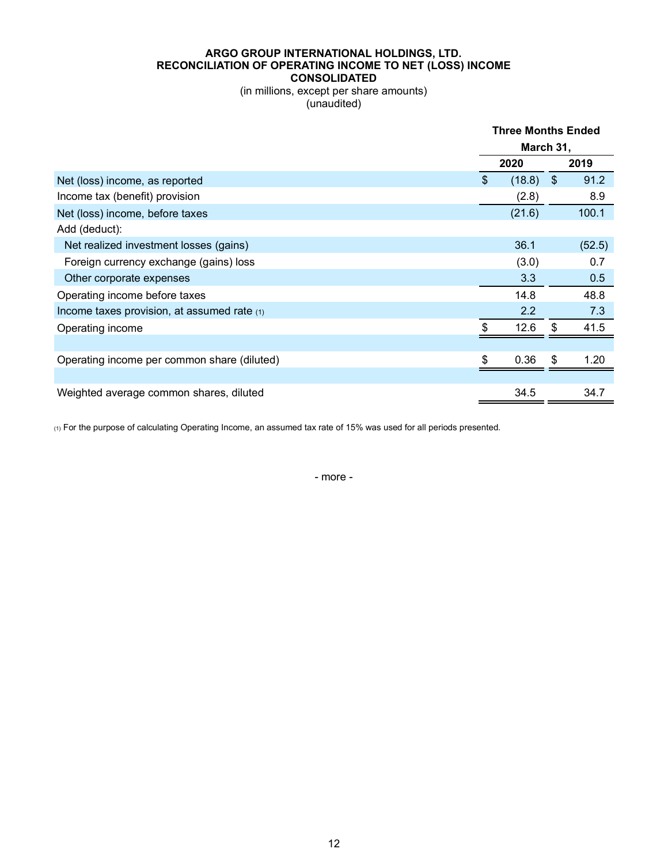#### **ARGO GROUP INTERNATIONAL HOLDINGS, LTD. RECONCILIATION OF OPERATING INCOME TO NET (LOSS) INCOME CONSOLIDATED**

(in millions, except per share amounts) (unaudited)

|                                               |                | <b>Three Months Ended</b> |               |        |  |
|-----------------------------------------------|----------------|---------------------------|---------------|--------|--|
|                                               |                | March 31,                 |               |        |  |
|                                               |                | 2020                      |               | 2019   |  |
| Net (loss) income, as reported                | $\mathfrak{L}$ | (18.8)                    | $\sqrt[6]{3}$ | 91.2   |  |
| Income tax (benefit) provision                |                | (2.8)                     |               | 8.9    |  |
| Net (loss) income, before taxes               |                | (21.6)                    |               | 100.1  |  |
| Add (deduct):                                 |                |                           |               |        |  |
| Net realized investment losses (gains)        |                | 36.1                      |               | (52.5) |  |
| Foreign currency exchange (gains) loss        |                | (3.0)                     |               | 0.7    |  |
| Other corporate expenses                      |                | 3.3                       |               | 0.5    |  |
| Operating income before taxes                 |                | 14.8                      |               | 48.8   |  |
| Income taxes provision, at assumed rate $(1)$ |                | 2.2                       |               | 7.3    |  |
| Operating income                              | \$.            | 12.6                      | \$            | 41.5   |  |
|                                               |                |                           |               |        |  |
| Operating income per common share (diluted)   | \$.            | 0.36                      | \$            | 1.20   |  |
|                                               |                |                           |               |        |  |
| Weighted average common shares, diluted       |                | 34.5                      |               | 34.7   |  |

(1) For the purpose of calculating Operating Income, an assumed tax rate of 15% was used for all periods presented.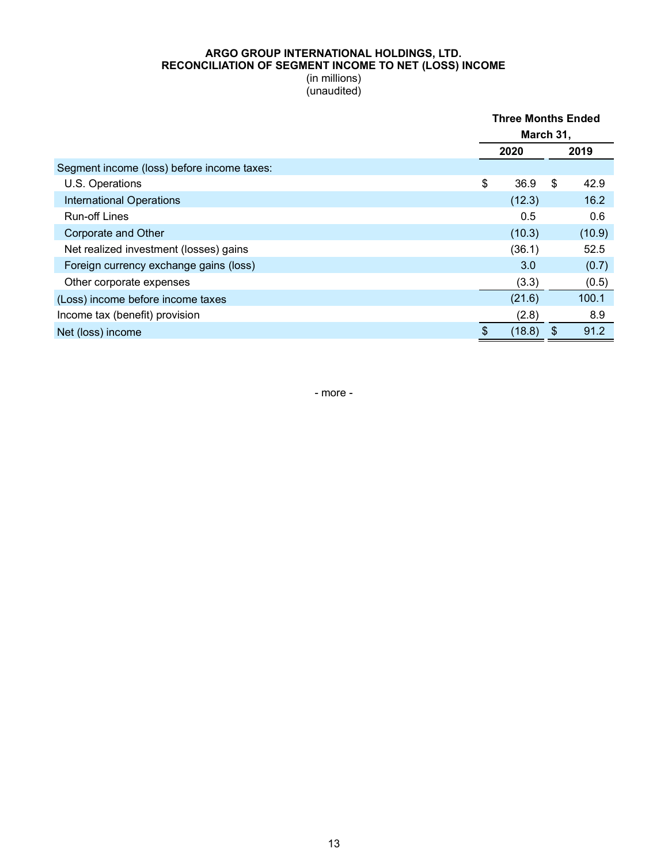#### **ARGO GROUP INTERNATIONAL HOLDINGS, LTD. RECONCILIATION OF SEGMENT INCOME TO NET (LOSS) INCOME** (in millions)

(unaudited)

|                                            | <b>Three Months Ended</b> |        |    |        |
|--------------------------------------------|---------------------------|--------|----|--------|
|                                            | March 31,                 |        |    |        |
|                                            |                           | 2020   |    | 2019   |
| Segment income (loss) before income taxes: |                           |        |    |        |
| U.S. Operations                            | \$                        | 36.9   | \$ | 42.9   |
| <b>International Operations</b>            |                           | (12.3) |    | 16.2   |
| <b>Run-off Lines</b>                       |                           | 0.5    |    | 0.6    |
| Corporate and Other                        |                           | (10.3) |    | (10.9) |
| Net realized investment (losses) gains     |                           | (36.1) |    | 52.5   |
| Foreign currency exchange gains (loss)     |                           | 3.0    |    | (0.7)  |
| Other corporate expenses                   |                           | (3.3)  |    | (0.5)  |
| (Loss) income before income taxes          |                           | (21.6) |    | 100.1  |
| Income tax (benefit) provision             |                           | (2.8)  |    | 8.9    |
| Net (loss) income                          | \$                        | (18.8) | \$ | 91.2   |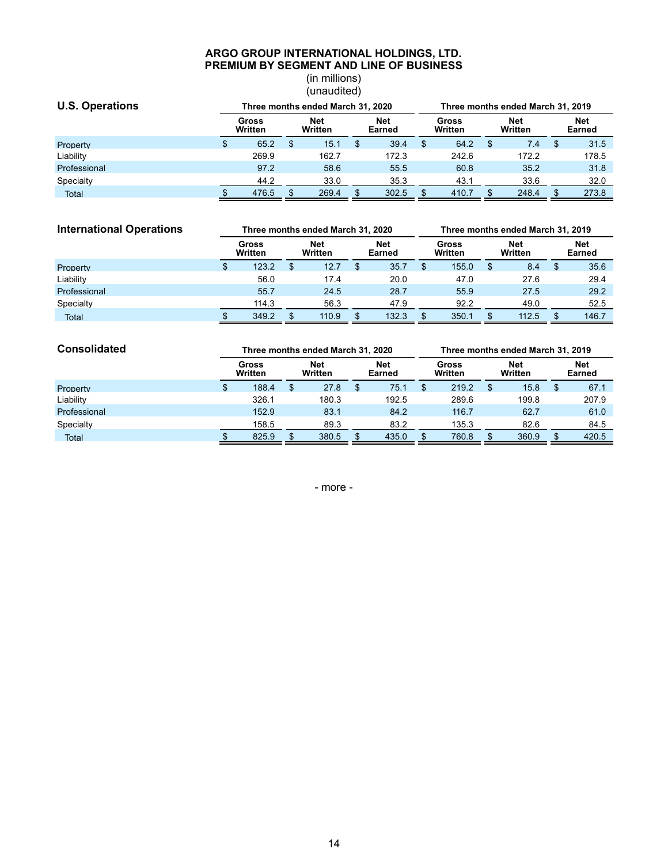#### **ARGO GROUP INTERNATIONAL HOLDINGS, LTD. PREMIUM BY SEGMENT AND LINE OF BUSINESS**

(in millions) (unaudited)

| <b>U.S. Operations</b> |                  |    |                       | Three months ended March 31, 2020<br>Three months ended March 31, 2019 |                      |    |                  |    |                       |  |                      |
|------------------------|------------------|----|-----------------------|------------------------------------------------------------------------|----------------------|----|------------------|----|-----------------------|--|----------------------|
|                        | Gross<br>Written |    | <b>Net</b><br>Written |                                                                        | <b>Net</b><br>Earned |    | Gross<br>Written |    | <b>Net</b><br>Written |  | <b>Net</b><br>Earned |
| Property               | \$<br>65.2       | £. | 15.1                  |                                                                        | 39.4                 | \$ | 64.2             | \$ | 7.4                   |  | 31.5                 |
| Liability              | 269.9            |    | 162.7                 |                                                                        | 172.3                |    | 242.6            |    | 172.2                 |  | 178.5                |
| Professional           | 97.2             |    | 58.6                  |                                                                        | 55.5                 |    | 60.8             |    | 35.2                  |  | 31.8                 |
| Specialty              | 44.2             |    | 33.0                  |                                                                        | 35.3                 |    | 43.1             |    | 33.6                  |  | 32.0                 |
| <b>Total</b>           | 476.5            |    | 269.4                 |                                                                        | 302.5                |    | 410.7            |    | 248.4                 |  | 273.8                |

| <b>International Operations</b> | Three months ended March 31, 2020 |    |                |  |                      | Three months ended March 31, 2019 |    |                |  |                      |  |
|---------------------------------|-----------------------------------|----|----------------|--|----------------------|-----------------------------------|----|----------------|--|----------------------|--|
|                                 | Gross<br>Written                  |    | Net<br>Written |  | <b>Net</b><br>Earned | Gross<br>Written                  |    | Net<br>Written |  | <b>Net</b><br>Earned |  |
| Property                        | 123.2                             | \$ | 12.7           |  | 35.7                 | 155.0                             | \$ | 8.4            |  | 35.6                 |  |
| Liability                       | 56.0                              |    | 17.4           |  | 20.0                 | 47.0                              |    | 27.6           |  | 29.4                 |  |
| Professional                    | 55.7                              |    | 24.5           |  | 28.7                 | 55.9                              |    | 27.5           |  | 29.2                 |  |
| Specialty                       | 114.3                             |    | 56.3           |  | 47.9                 | 92.2                              |    | 49.0           |  | 52.5                 |  |
| Total                           | 349.2                             |    | 110.9          |  | 132.3                | 350.1                             |    | 112.5          |  | 146.7                |  |

| <b>Consolidated</b> |   |                  | Three months ended March 31, 2020 |                      | Three months ended March 31, 2019 |                  |  |                |  |                      |
|---------------------|---|------------------|-----------------------------------|----------------------|-----------------------------------|------------------|--|----------------|--|----------------------|
|                     |   | Gross<br>Written | <b>Net</b><br>Written             | <b>Net</b><br>Earned |                                   | Gross<br>Written |  | Net<br>Written |  | <b>Net</b><br>Earned |
| Property            | S | 188.4            | 27.8                              | \$<br>75.1           |                                   | 219.2            |  | 15.8           |  | 67.1                 |
| Liability           |   | 326.1            | 180.3                             | 192.5                |                                   | 289.6            |  | 199.8          |  | 207.9                |
| Professional        |   | 152.9            | 83.1                              | 84.2                 |                                   | 116.7            |  | 62.7           |  | 61.0                 |
| Specialty           |   | 158.5            | 89.3                              | 83.2                 |                                   | 135.3            |  | 82.6           |  | 84.5                 |
| Total               |   | 825.9            | 380.5                             | 435.0                |                                   | 760.8            |  | 360.9          |  | 420.5                |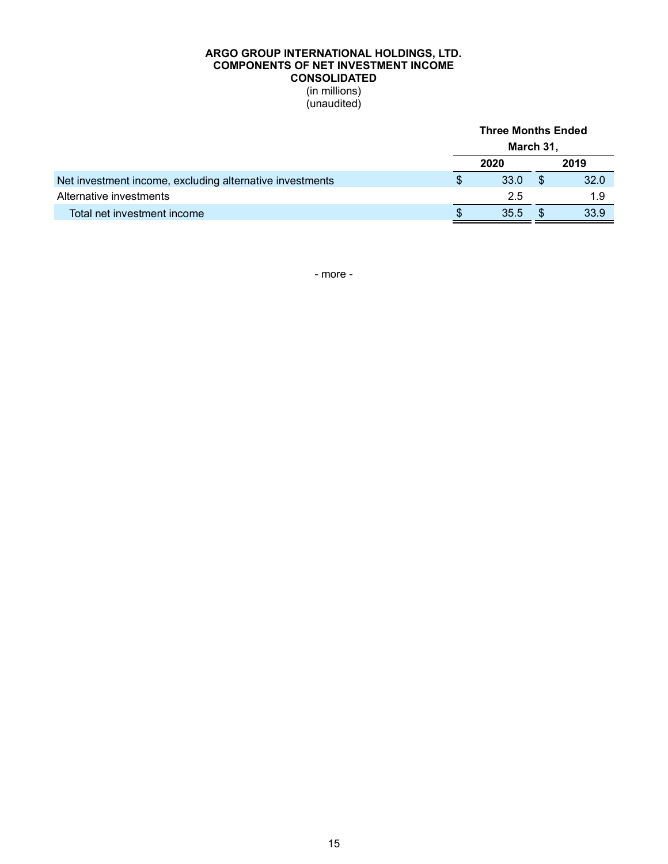### **ARGO GROUP INTERNATIONAL HOLDINGS, LTD. COMPONENTS OF NET INVESTMENT INCOME CONSOLIDATED** (in millions) (unaudited)

|                                                          |    | March 31, |      |
|----------------------------------------------------------|----|-----------|------|
|                                                          |    | 2020      | 2019 |
| Net investment income, excluding alternative investments |    | 33.0      | 32.0 |
| Alternative investments                                  |    | 2.5       | 1.9  |
| Total net investment income                              | S. | 35.5      | 33.9 |
|                                                          |    |           |      |

**Three Months Ended**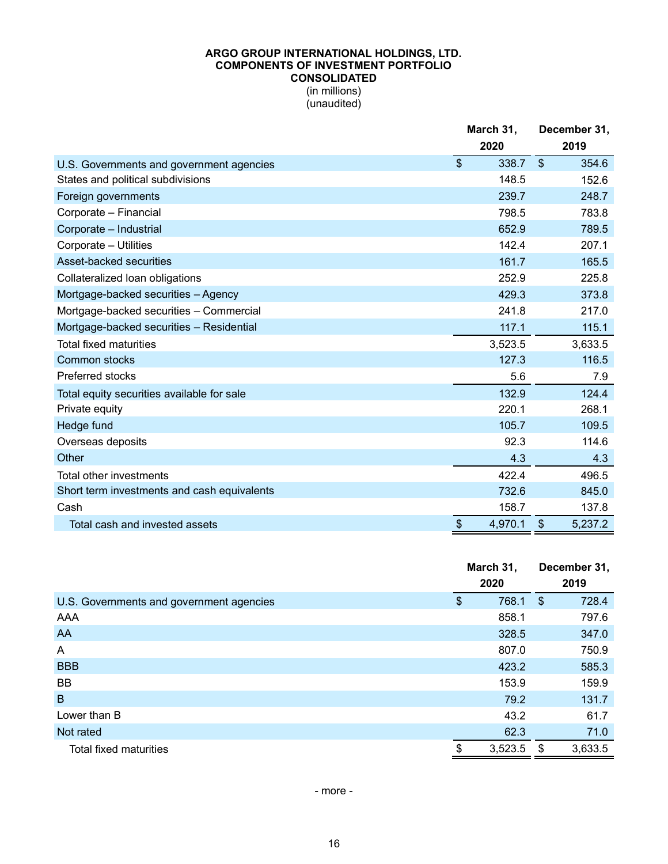#### **ARGO GROUP INTERNATIONAL HOLDINGS, LTD. COMPONENTS OF INVESTMENT PORTFOLIO CONSOLIDATED** (in millions)

(unaudited)

|                                             |                           | March 31,<br>2020 | December 31,<br>2019 |         |  |
|---------------------------------------------|---------------------------|-------------------|----------------------|---------|--|
| U.S. Governments and government agencies    | $\boldsymbol{\mathsf{S}}$ | 338.7             | \$                   | 354.6   |  |
| States and political subdivisions           |                           | 148.5             |                      | 152.6   |  |
| Foreign governments                         |                           | 239.7             |                      | 248.7   |  |
| Corporate - Financial                       |                           | 798.5             |                      | 783.8   |  |
| Corporate - Industrial                      |                           | 652.9             |                      | 789.5   |  |
| Corporate - Utilities                       |                           | 142.4             |                      | 207.1   |  |
| Asset-backed securities                     |                           | 161.7             |                      | 165.5   |  |
| Collateralized Ioan obligations             |                           | 252.9             |                      | 225.8   |  |
| Mortgage-backed securities - Agency         |                           | 429.3             |                      | 373.8   |  |
| Mortgage-backed securities - Commercial     |                           | 241.8             |                      | 217.0   |  |
| Mortgage-backed securities - Residential    |                           | 117.1             |                      | 115.1   |  |
| <b>Total fixed maturities</b>               |                           | 3,523.5           |                      | 3,633.5 |  |
| <b>Common stocks</b>                        |                           | 127.3             |                      | 116.5   |  |
| <b>Preferred stocks</b>                     |                           | 5.6               |                      | 7.9     |  |
| Total equity securities available for sale  |                           | 132.9             |                      | 124.4   |  |
| Private equity                              |                           | 220.1             |                      | 268.1   |  |
| Hedge fund                                  |                           | 105.7             |                      | 109.5   |  |
| Overseas deposits                           |                           | 92.3              |                      | 114.6   |  |
| Other                                       |                           | 4.3               |                      | 4.3     |  |
| Total other investments                     |                           | 422.4             |                      | 496.5   |  |
| Short term investments and cash equivalents |                           | 732.6             |                      | 845.0   |  |
| Cash                                        |                           | 158.7             |                      | 137.8   |  |
| Total cash and invested assets              | \$                        | 4,970.1           | $\frac{1}{2}$        | 5,237.2 |  |

|                                          | March 31,<br>2020 | December 31,<br>2019 |         |  |
|------------------------------------------|-------------------|----------------------|---------|--|
| U.S. Governments and government agencies | \$<br>768.1       | \$                   | 728.4   |  |
| AAA                                      | 858.1             |                      | 797.6   |  |
| AA                                       | 328.5             |                      | 347.0   |  |
| A                                        | 807.0             |                      | 750.9   |  |
| <b>BBB</b>                               | 423.2             |                      | 585.3   |  |
| BB                                       | 153.9             |                      | 159.9   |  |
| $\mathsf B$                              | 79.2              |                      | 131.7   |  |
| Lower than B                             | 43.2              |                      | 61.7    |  |
| Not rated                                | 62.3              |                      | 71.0    |  |
| Total fixed maturities                   | \$<br>3,523.5     | \$                   | 3,633.5 |  |